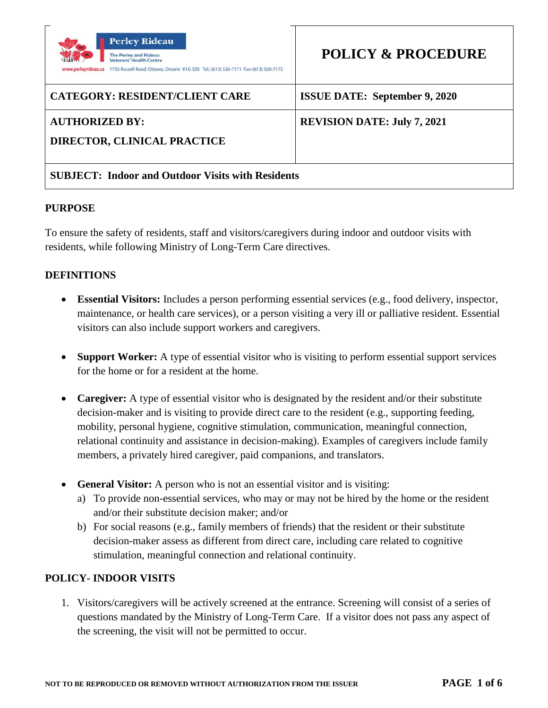

#### **AUTHORIZED BY:**

**DIRECTOR, CLINICAL PRACTICE** 

# **REVISION DATE: July 7, 2021**

## **SUBJECT: Indoor and Outdoor Visits with Residents**

#### **PURPOSE**

To ensure the safety of residents, staff and visitors/caregivers during indoor and outdoor visits with residents, while following Ministry of Long-Term Care directives.

## **DEFINITIONS**

- **Essential Visitors:** Includes a person performing essential services (e.g., food delivery, inspector, maintenance, or health care services), or a person visiting a very ill or palliative resident. Essential visitors can also include support workers and caregivers.
- **Support Worker:** A type of essential visitor who is visiting to perform essential support services for the home or for a resident at the home.
- **Caregiver:** A type of essential visitor who is designated by the resident and/or their substitute decision-maker and is visiting to provide direct care to the resident (e.g., supporting feeding, mobility, personal hygiene, cognitive stimulation, communication, meaningful connection, relational continuity and assistance in decision-making). Examples of caregivers include family members, a privately hired caregiver, paid companions, and translators.
- **General Visitor:** A person who is not an essential visitor and is visiting:
	- a) To provide non-essential services, who may or may not be hired by the home or the resident and/or their substitute decision maker; and/or
	- b) For social reasons (e.g., family members of friends) that the resident or their substitute decision-maker assess as different from direct care, including care related to cognitive stimulation, meaningful connection and relational continuity.

#### **POLICY- INDOOR VISITS**

1. Visitors/caregivers will be actively screened at the entrance. Screening will consist of a series of questions mandated by the Ministry of Long-Term Care. If a visitor does not pass any aspect of the screening, the visit will not be permitted to occur.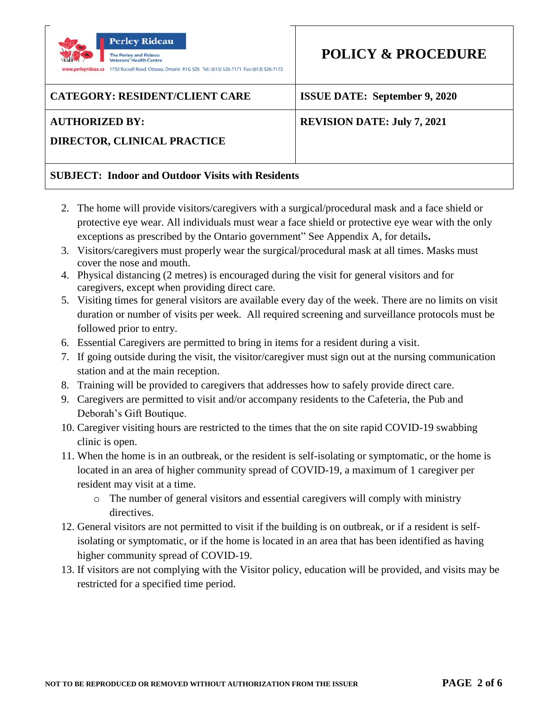

# **AUTHORIZED BY:**

# **REVISION DATE: July 7, 2021**

**DIRECTOR, CLINICAL PRACTICE** 

# **SUBJECT: Indoor and Outdoor Visits with Residents**

- 2. The home will provide visitors/caregivers with a surgical/procedural mask and a face shield or protective eye wear. All individuals must wear a face shield or protective eye wear with the only exceptions as prescribed by the Ontario government" See Appendix A, for details**.**
- 3. Visitors/caregivers must properly wear the surgical/procedural mask at all times. Masks must cover the nose and mouth.
- 4. Physical distancing (2 metres) is encouraged during the visit for general visitors and for caregivers, except when providing direct care.
- 5. Visiting times for general visitors are available every day of the week. There are no limits on visit duration or number of visits per week. All required screening and surveillance protocols must be followed prior to entry.
- 6. Essential Caregivers are permitted to bring in items for a resident during a visit.
- 7. If going outside during the visit, the visitor/caregiver must sign out at the nursing communication station and at the main reception.
- 8. Training will be provided to caregivers that addresses how to safely provide direct care.
- 9. Caregivers are permitted to visit and/or accompany residents to the Cafeteria, the Pub and Deborah's Gift Boutique.
- 10. Caregiver visiting hours are restricted to the times that the on site rapid COVID-19 swabbing clinic is open.
- 11. When the home is in an outbreak, or the resident is self-isolating or symptomatic, or the home is located in an area of higher community spread of COVID-19, a maximum of 1 caregiver per resident may visit at a time.
	- o The number of general visitors and essential caregivers will comply with ministry directives.
- 12. General visitors are not permitted to visit if the building is on outbreak, or if a resident is selfisolating or symptomatic, or if the home is located in an area that has been identified as having higher community spread of COVID-19.
- 13. If visitors are not complying with the Visitor policy, education will be provided, and visits may be restricted for a specified time period.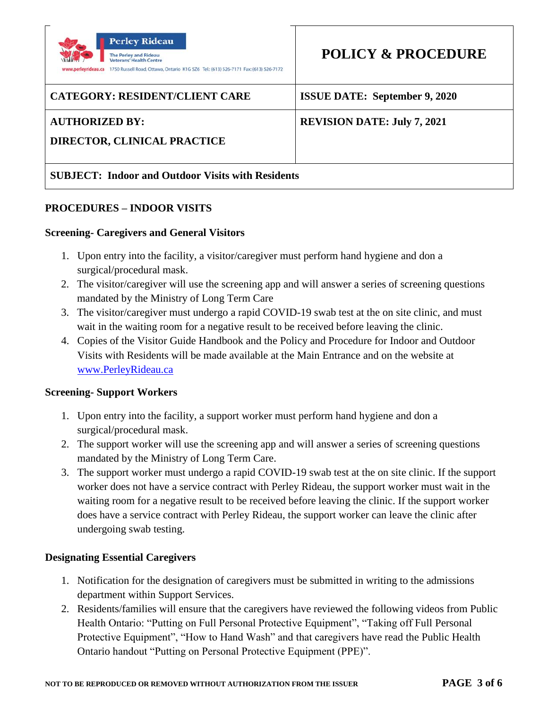

#### **AUTHORIZED BY:**

# **REVISION DATE: July 7, 2021**

**DIRECTOR, CLINICAL PRACTICE** 

# **SUBJECT: Indoor and Outdoor Visits with Residents**

#### **PROCEDURES – INDOOR VISITS**

#### **Screening- Caregivers and General Visitors**

- 1. Upon entry into the facility, a visitor/caregiver must perform hand hygiene and don a surgical/procedural mask.
- 2. The visitor/caregiver will use the screening app and will answer a series of screening questions mandated by the Ministry of Long Term Care
- 3. The visitor/caregiver must undergo a rapid COVID-19 swab test at the on site clinic, and must wait in the waiting room for a negative result to be received before leaving the clinic.
- 4. Copies of the Visitor Guide Handbook and the Policy and Procedure for Indoor and Outdoor Visits with Residents will be made available at the Main Entrance and on the website at [www.PerleyRideau.ca](http://www.perleyrideau.ca/)

#### **Screening- Support Workers**

- 1. Upon entry into the facility, a support worker must perform hand hygiene and don a surgical/procedural mask.
- 2. The support worker will use the screening app and will answer a series of screening questions mandated by the Ministry of Long Term Care.
- 3. The support worker must undergo a rapid COVID-19 swab test at the on site clinic. If the support worker does not have a service contract with Perley Rideau, the support worker must wait in the waiting room for a negative result to be received before leaving the clinic. If the support worker does have a service contract with Perley Rideau, the support worker can leave the clinic after undergoing swab testing.

## **Designating Essential Caregivers**

- 1. Notification for the designation of caregivers must be submitted in writing to the admissions department within Support Services.
- 2. Residents/families will ensure that the caregivers have reviewed the following videos from Public Health Ontario: "Putting on Full Personal Protective Equipment", "Taking off Full Personal Protective Equipment", "How to Hand Wash" and that caregivers have read the Public Health Ontario handout "Putting on Personal Protective Equipment (PPE)".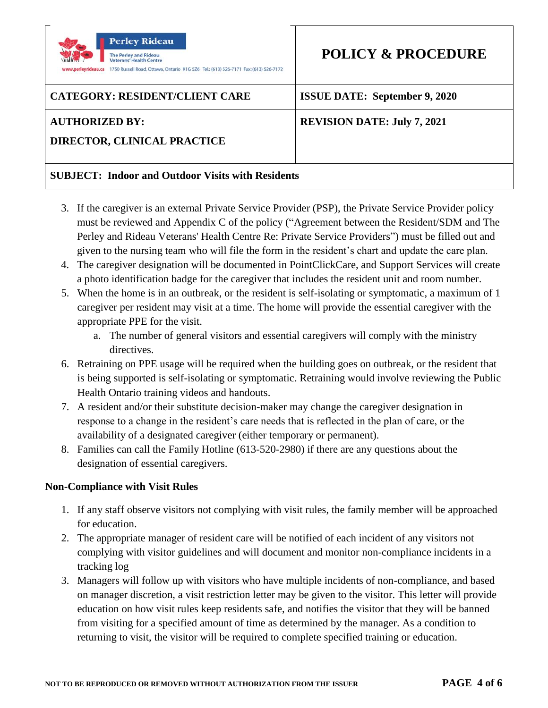

### **AUTHORIZED BY:**

# **REVISION DATE: July 7, 2021**

**DIRECTOR, CLINICAL PRACTICE** 

# **SUBJECT: Indoor and Outdoor Visits with Residents**

- 3. If the caregiver is an external Private Service Provider (PSP), the Private Service Provider policy must be reviewed and Appendix C of the policy ("Agreement between the Resident/SDM and The Perley and Rideau Veterans' Health Centre Re: Private Service Providers") must be filled out and given to the nursing team who will file the form in the resident's chart and update the care plan.
- 4. The caregiver designation will be documented in PointClickCare, and Support Services will create a photo identification badge for the caregiver that includes the resident unit and room number.
- 5. When the home is in an outbreak, or the resident is self-isolating or symptomatic, a maximum of 1 caregiver per resident may visit at a time. The home will provide the essential caregiver with the appropriate PPE for the visit.
	- a. The number of general visitors and essential caregivers will comply with the ministry directives.
- 6. Retraining on PPE usage will be required when the building goes on outbreak, or the resident that is being supported is self-isolating or symptomatic. Retraining would involve reviewing the Public Health Ontario training videos and handouts.
- 7. A resident and/or their substitute decision-maker may change the caregiver designation in response to a change in the resident's care needs that is reflected in the plan of care, or the availability of a designated caregiver (either temporary or permanent).
- 8. Families can call the Family Hotline (613-520-2980) if there are any questions about the designation of essential caregivers.

## **Non-Compliance with Visit Rules**

- 1. If any staff observe visitors not complying with visit rules, the family member will be approached for education.
- 2. The appropriate manager of resident care will be notified of each incident of any visitors not complying with visitor guidelines and will document and monitor non-compliance incidents in a tracking log
- 3. Managers will follow up with visitors who have multiple incidents of non-compliance, and based on manager discretion, a visit restriction letter may be given to the visitor. This letter will provide education on how visit rules keep residents safe, and notifies the visitor that they will be banned from visiting for a specified amount of time as determined by the manager. As a condition to returning to visit, the visitor will be required to complete specified training or education.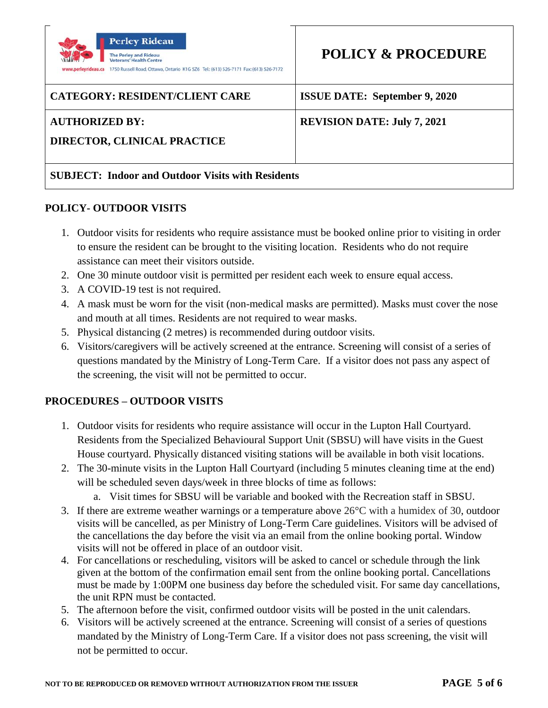

#### **AUTHORIZED BY:**

# **REVISION DATE: July 7, 2021**

**DIRECTOR, CLINICAL PRACTICE** 

# **SUBJECT: Indoor and Outdoor Visits with Residents**

#### **POLICY- OUTDOOR VISITS**

- 1. Outdoor visits for residents who require assistance must be booked online prior to visiting in order to ensure the resident can be brought to the visiting location. Residents who do not require assistance can meet their visitors outside.
- 2. One 30 minute outdoor visit is permitted per resident each week to ensure equal access.
- 3. A COVID-19 test is not required.
- 4. A mask must be worn for the visit (non-medical masks are permitted). Masks must cover the nose and mouth at all times. Residents are not required to wear masks.
- 5. Physical distancing (2 metres) is recommended during outdoor visits.
- 6. Visitors/caregivers will be actively screened at the entrance. Screening will consist of a series of questions mandated by the Ministry of Long-Term Care. If a visitor does not pass any aspect of the screening, the visit will not be permitted to occur.

# **PROCEDURES – OUTDOOR VISITS**

- 1. Outdoor visits for residents who require assistance will occur in the Lupton Hall Courtyard. Residents from the Specialized Behavioural Support Unit (SBSU) will have visits in the Guest House courtyard. Physically distanced visiting stations will be available in both visit locations.
- 2. The 30-minute visits in the Lupton Hall Courtyard (including 5 minutes cleaning time at the end) will be scheduled seven days/week in three blocks of time as follows:
	- a. Visit times for SBSU will be variable and booked with the Recreation staff in SBSU.
- 3. If there are extreme weather warnings or a temperature above 26°C with a humidex of 30, outdoor visits will be cancelled, as per Ministry of Long-Term Care guidelines. Visitors will be advised of the cancellations the day before the visit via an email from the online booking portal. Window visits will not be offered in place of an outdoor visit.
- 4. For cancellations or rescheduling, visitors will be asked to cancel or schedule through the link given at the bottom of the confirmation email sent from the online booking portal. Cancellations must be made by 1:00PM one business day before the scheduled visit. For same day cancellations, the unit RPN must be contacted.
- 5. The afternoon before the visit, confirmed outdoor visits will be posted in the unit calendars.
- 6. Visitors will be actively screened at the entrance. Screening will consist of a series of questions mandated by the Ministry of Long-Term Care. If a visitor does not pass screening, the visit will not be permitted to occur.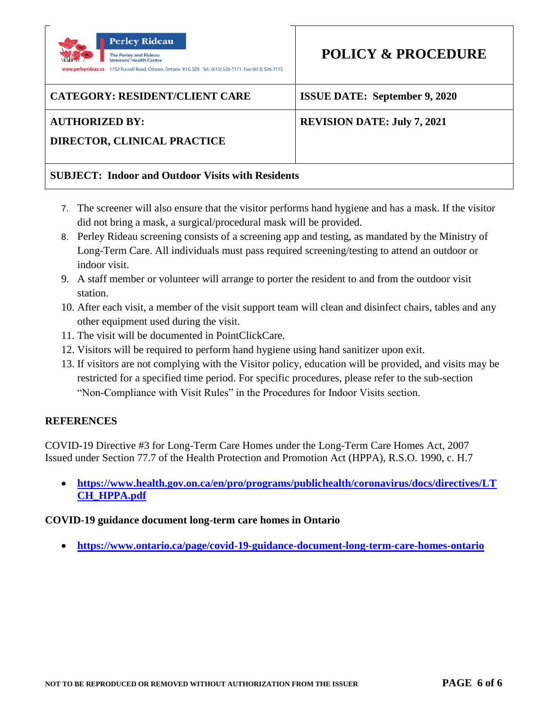

## **AUTHORIZED BY:**

# **REVISION DATE: July 7, 2021**

# **DIRECTOR, CLINICAL PRACTICE**

# **SUBJECT: Indoor and Outdoor Visits with Residents**

- 7. The screener will also ensure that the visitor performs hand hygiene and has a mask. If the visitor did not bring a mask, a surgical/procedural mask will be provided.
- 8. Perley Rideau screening consists of a screening app and testing, as mandated by the Ministry of Long-Term Care. All individuals must pass required screening/testing to attend an outdoor or indoor visit.
- 9. A staff member or volunteer will arrange to porter the resident to and from the outdoor visit station.
- 10. After each visit, a member of the visit support team will clean and disinfect chairs, tables and any other equipment used during the visit.
- 11. The visit will be documented in PointClickCare.
- 12. Visitors will be required to perform hand hygiene using hand sanitizer upon exit.
- 13. If visitors are not complying with the Visitor policy, education will be provided, and visits may be restricted for a specified time period. For specific procedures, please refer to the sub-section "Non-Compliance with Visit Rules" in the Procedures for Indoor Visits section.

## **REFERENCES**

COVID-19 Directive #3 for Long-Term Care Homes under the Long-Term Care Homes Act, 2007 Issued under Section 77.7 of the Health Protection and Promotion Act (HPPA), R.S.O. 1990, c. H.7

• **[https://www.health.gov.on.ca/en/pro/programs/publichealth/coronavirus/docs/directives/LT](https://www.health.gov.on.ca/en/pro/programs/publichealth/coronavirus/docs/directives/LTCH_HPPA.pdf) [CH\\_HPPA.pdf](https://www.health.gov.on.ca/en/pro/programs/publichealth/coronavirus/docs/directives/LTCH_HPPA.pdf)**

## **COVID-19 guidance document long-term care homes in Ontario**

• **<https://www.ontario.ca/page/covid-19-guidance-document-long-term-care-homes-ontario>**